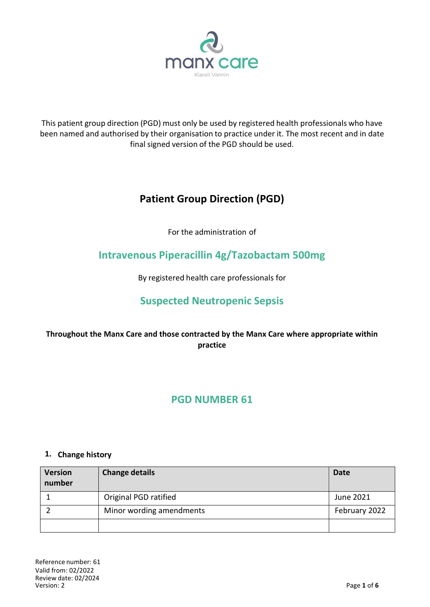

This patient group direction (PGD) must only be used by registered health professionals who have been named and authorised by their organisation to practice under it. The most recent and in date final signed version of the PGD should be used.

# **Patient Group Direction (PGD)**

For the administration of

## **Intravenous Piperacillin 4g/Tazobactam 500mg**

By registered health care professionals for

## **Suspected Neutropenic Sepsis**

## **Throughout the Manx Care and those contracted by the Manx Care where appropriate within practice**

## **PGD NUMBER 61**

#### **1. Change history**

| <b>Version</b><br>number | <b>Change details</b>    | Date          |
|--------------------------|--------------------------|---------------|
|                          | Original PGD ratified    | June 2021     |
|                          | Minor wording amendments | February 2022 |
|                          |                          |               |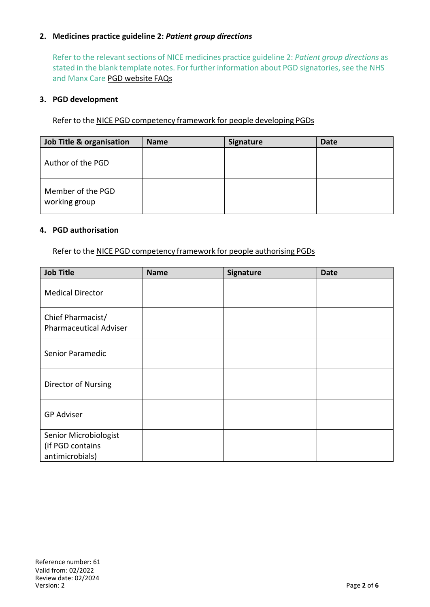### **2. Medicines practice guideline 2:** *Patient group directions*

Refer to the relevant sections of NICE medicines practice guideline 2: *Patient group directions* as stated in the blank template notes. For further information about PGD signatories, see the NHS and Manx Care PGD website FAQs

#### **3. PGD development**

Refer to the NICE PGD competency framework for people developing PGDs

| <b>Job Title &amp; organisation</b> | <b>Name</b> | <b>Signature</b> | <b>Date</b> |
|-------------------------------------|-------------|------------------|-------------|
| Author of the PGD                   |             |                  |             |
| Member of the PGD<br>working group  |             |                  |             |

#### **4. PGD authorisation**

Refer to the NICE PGD competency framework for people authorising PGDs

| <b>Job Title</b>                                             | <b>Name</b> | Signature | <b>Date</b> |
|--------------------------------------------------------------|-------------|-----------|-------------|
| <b>Medical Director</b>                                      |             |           |             |
| Chief Pharmacist/<br><b>Pharmaceutical Adviser</b>           |             |           |             |
| Senior Paramedic                                             |             |           |             |
| Director of Nursing                                          |             |           |             |
| <b>GP Adviser</b>                                            |             |           |             |
| Senior Microbiologist<br>(if PGD contains<br>antimicrobials) |             |           |             |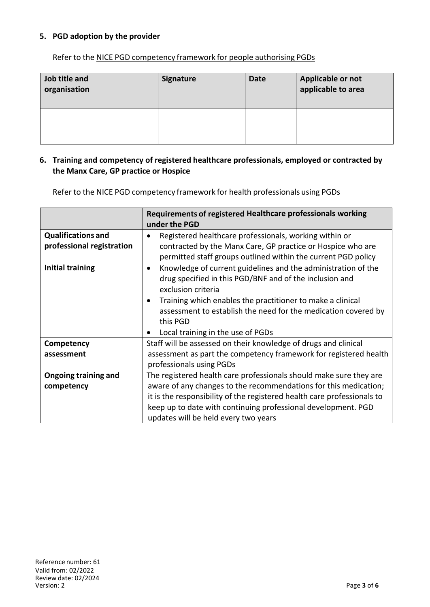### **5. PGD adoption by the provider**

Refer to the NICE PGD competency framework for people authorising PGDs

| Job title and<br>organisation | <b>Signature</b> | <b>Date</b> | Applicable or not<br>applicable to area |
|-------------------------------|------------------|-------------|-----------------------------------------|
|                               |                  |             |                                         |

#### **6. Training and competency of registered healthcare professionals, employed or contracted by the Manx Care, GP practice or Hospice**

Refer to the NICE PGD competency framework for health professionals using PGDs

|                             | Requirements of registered Healthcare professionals working<br>under the PGD |  |
|-----------------------------|------------------------------------------------------------------------------|--|
| <b>Qualifications and</b>   | Registered healthcare professionals, working within or                       |  |
| professional registration   | contracted by the Manx Care, GP practice or Hospice who are                  |  |
|                             | permitted staff groups outlined within the current PGD policy                |  |
| <b>Initial training</b>     | Knowledge of current guidelines and the administration of the<br>$\bullet$   |  |
|                             | drug specified in this PGD/BNF and of the inclusion and                      |  |
|                             | exclusion criteria                                                           |  |
|                             | Training which enables the practitioner to make a clinical                   |  |
|                             | assessment to establish the need for the medication covered by               |  |
|                             | this PGD                                                                     |  |
|                             | Local training in the use of PGDs                                            |  |
| Competency                  | Staff will be assessed on their knowledge of drugs and clinical              |  |
| assessment                  | assessment as part the competency framework for registered health            |  |
|                             | professionals using PGDs                                                     |  |
| <b>Ongoing training and</b> | The registered health care professionals should make sure they are           |  |
| competency                  | aware of any changes to the recommendations for this medication;             |  |
|                             | it is the responsibility of the registered health care professionals to      |  |
|                             | keep up to date with continuing professional development. PGD                |  |
|                             | updates will be held every two years                                         |  |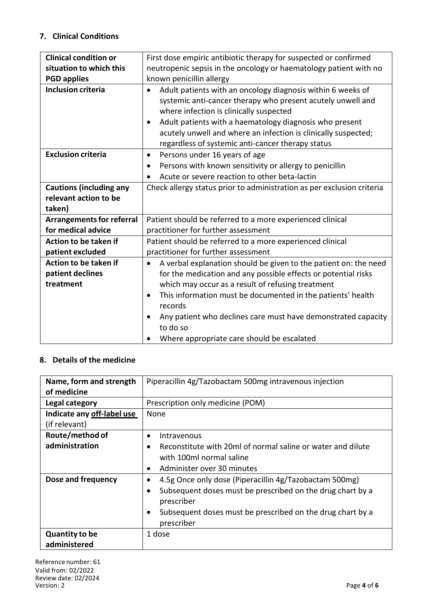## **7. Clinical Conditions**

| <b>Clinical condition or</b>     | First dose empiric antibiotic therapy for suspected or confirmed              |  |  |
|----------------------------------|-------------------------------------------------------------------------------|--|--|
| situation to which this          | neutropenic sepsis in the oncology or haematology patient with no             |  |  |
| <b>PGD applies</b>               | known penicillin allergy                                                      |  |  |
| <b>Inclusion criteria</b>        | Adult patients with an oncology diagnosis within 6 weeks of<br>$\bullet$      |  |  |
|                                  | systemic anti-cancer therapy who present acutely unwell and                   |  |  |
|                                  | where infection is clinically suspected                                       |  |  |
|                                  | Adult patients with a haematology diagnosis who present<br>$\bullet$          |  |  |
|                                  | acutely unwell and where an infection is clinically suspected;                |  |  |
|                                  | regardless of systemic anti-cancer therapy status                             |  |  |
| <b>Exclusion criteria</b>        | Persons under 16 years of age<br>$\bullet$                                    |  |  |
|                                  | Persons with known sensitivity or allergy to penicillin<br>٠                  |  |  |
|                                  | Acute or severe reaction to other beta-lactin<br>$\bullet$                    |  |  |
| <b>Cautions (including any</b>   | Check allergy status prior to administration as per exclusion criteria        |  |  |
| relevant action to be            |                                                                               |  |  |
| taken)                           |                                                                               |  |  |
| <b>Arrangements for referral</b> | Patient should be referred to a more experienced clinical                     |  |  |
| for medical advice               | practitioner for further assessment                                           |  |  |
| Action to be taken if            | Patient should be referred to a more experienced clinical                     |  |  |
| patient excluded                 | practitioner for further assessment                                           |  |  |
| Action to be taken if            | A verbal explanation should be given to the patient on: the need<br>$\bullet$ |  |  |
| patient declines                 | for the medication and any possible effects or potential risks                |  |  |
| treatment                        | which may occur as a result of refusing treatment                             |  |  |
|                                  | This information must be documented in the patients' health                   |  |  |
|                                  | records                                                                       |  |  |
|                                  | Any patient who declines care must have demonstrated capacity                 |  |  |
|                                  | to do so                                                                      |  |  |
|                                  | Where appropriate care should be escalated                                    |  |  |

## **8. Details of the medicine**

| Name, form and strength    | Piperacillin 4g/Tazobactam 500mg intravenous injection      |  |
|----------------------------|-------------------------------------------------------------|--|
| of medicine                |                                                             |  |
| Legal category             | Prescription only medicine (POM)                            |  |
| Indicate any off-label use | None                                                        |  |
| (if relevant)              |                                                             |  |
| Route/method of            | Intravenous<br>$\bullet$                                    |  |
| administration             | Reconstitute with 20ml of normal saline or water and dilute |  |
|                            | with 100ml normal saline                                    |  |
|                            | Administer over 30 minutes<br>$\bullet$                     |  |
| Dose and frequency         | 4.5g Once only dose (Piperacillin 4g/Tazobactam 500mg)      |  |
|                            | Subsequent doses must be prescribed on the drug chart by a  |  |
|                            | prescriber                                                  |  |
|                            | Subsequent doses must be prescribed on the drug chart by a  |  |
|                            | prescriber                                                  |  |
| <b>Quantity to be</b>      | 1 dose                                                      |  |
| administered               |                                                             |  |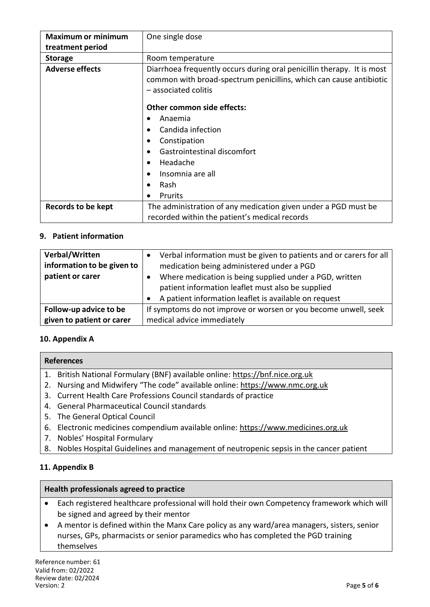| <b>Maximum or minimum</b> | One single dose                                                                                                                                                      |
|---------------------------|----------------------------------------------------------------------------------------------------------------------------------------------------------------------|
| treatment period          |                                                                                                                                                                      |
| <b>Storage</b>            | Room temperature                                                                                                                                                     |
| <b>Adverse effects</b>    | Diarrhoea frequently occurs during oral penicillin therapy. It is most<br>common with broad-spectrum penicillins, which can cause antibiotic<br>- associated colitis |
|                           | Other common side effects:                                                                                                                                           |
|                           | Anaemia                                                                                                                                                              |
|                           | Candida infection                                                                                                                                                    |
|                           | Constipation                                                                                                                                                         |
|                           | Gastrointestinal discomfort                                                                                                                                          |
|                           | Headache                                                                                                                                                             |
|                           | Insomnia are all                                                                                                                                                     |
|                           | Rash                                                                                                                                                                 |
|                           | <b>Prurits</b><br>$\bullet$                                                                                                                                          |
| Records to be kept        | The administration of any medication given under a PGD must be                                                                                                       |
|                           | recorded within the patient's medical records                                                                                                                        |

### **9. Patient information**

| Verbal/Written<br>information to be given to<br>patient or carer | Verbal information must be given to patients and or carers for all<br>medication being administered under a PGD<br>Where medication is being supplied under a PGD, written<br>patient information leaflet must also be supplied<br>A patient information leaflet is available on request |  |
|------------------------------------------------------------------|------------------------------------------------------------------------------------------------------------------------------------------------------------------------------------------------------------------------------------------------------------------------------------------|--|
| Follow-up advice to be                                           | If symptoms do not improve or worsen or you become unwell, seek                                                                                                                                                                                                                          |  |
| given to patient or carer                                        | medical advice immediately                                                                                                                                                                                                                                                               |  |

### **10. Appendix A**

#### **References**

- 1. British National Formulary (BNF) available online: https://bnf.nice.org.uk
- 2. Nursing and Midwifery "The code" available online: https://www.nmc.org.uk
- 3. Current Health Care Professions Council standards of practice
- 4. General Pharmaceutical Council standards
- 5. The General Optical Council
- 6. Electronic medicines compendium available online: https://www.medicines.org.uk
- 7. Nobles' Hospital Formulary
- 8. Nobles Hospital Guidelines and management of neutropenic sepsis in the cancer patient

### **11. Appendix B**

#### **Health professionals agreed to practice**

- Each registered healthcare professional will hold their own Competency framework which will be signed and agreed by their mentor
- A mentor is defined within the Manx Care policy as any ward/area managers, sisters, senior nurses, GPs, pharmacists or senior paramedics who has completed the PGD training themselves